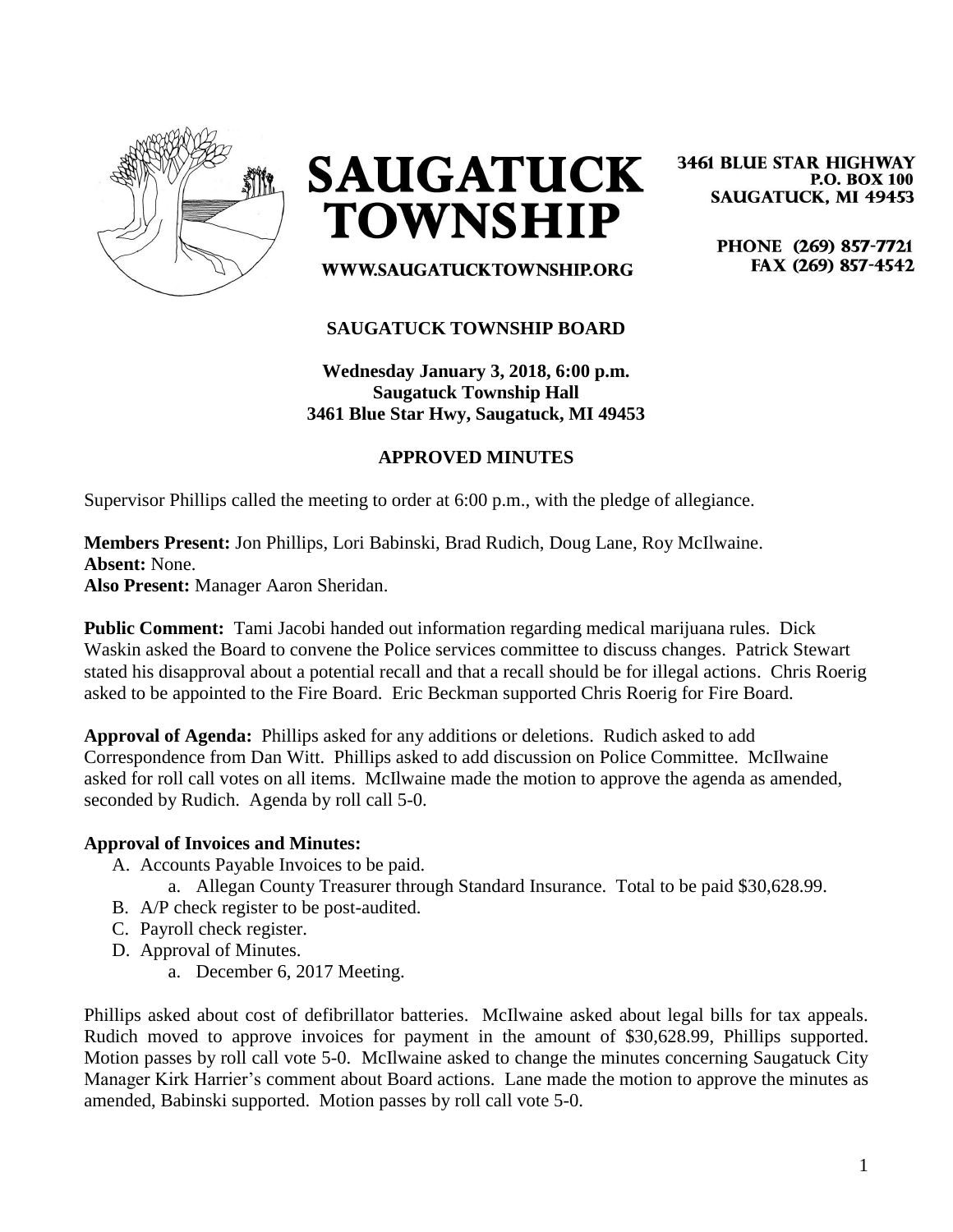

**SAUGATUCK TOWNSHIP** 

**3461 BLUE STAR HIGHWAY P.O. BOX 100 SAUGATUCK, MI 49453** 

> PHONE (269) 857-7721 FAX (269) 857-4542

WWW.SAUGATUCKTOWNSHIP.ORG

#### **SAUGATUCK TOWNSHIP BOARD**

**Wednesday January 3, 2018, 6:00 p.m. Saugatuck Township Hall 3461 Blue Star Hwy, Saugatuck, MI 49453**

### **APPROVED MINUTES**

Supervisor Phillips called the meeting to order at 6:00 p.m., with the pledge of allegiance.

# **Members Present:** Jon Phillips, Lori Babinski, Brad Rudich, Doug Lane, Roy McIlwaine. **Absent:** None.

**Also Present:** Manager Aaron Sheridan.

**Public Comment:** Tami Jacobi handed out information regarding medical marijuana rules. Dick Waskin asked the Board to convene the Police services committee to discuss changes. Patrick Stewart stated his disapproval about a potential recall and that a recall should be for illegal actions. Chris Roerig asked to be appointed to the Fire Board. Eric Beckman supported Chris Roerig for Fire Board.

**Approval of Agenda:** Phillips asked for any additions or deletions. Rudich asked to add Correspondence from Dan Witt. Phillips asked to add discussion on Police Committee. McIlwaine asked for roll call votes on all items. McIlwaine made the motion to approve the agenda as amended, seconded by Rudich. Agenda by roll call 5-0.

#### **Approval of Invoices and Minutes:**

- A. Accounts Payable Invoices to be paid.
	- a. Allegan County Treasurer through Standard Insurance. Total to be paid \$30,628.99.
- B. A/P check register to be post-audited.
- C. Payroll check register.
- D. Approval of Minutes.
	- a. December 6, 2017 Meeting.

Phillips asked about cost of defibrillator batteries. McIlwaine asked about legal bills for tax appeals. Rudich moved to approve invoices for payment in the amount of \$30,628.99, Phillips supported. Motion passes by roll call vote 5-0. McIlwaine asked to change the minutes concerning Saugatuck City Manager Kirk Harrier's comment about Board actions. Lane made the motion to approve the minutes as amended, Babinski supported. Motion passes by roll call vote 5-0.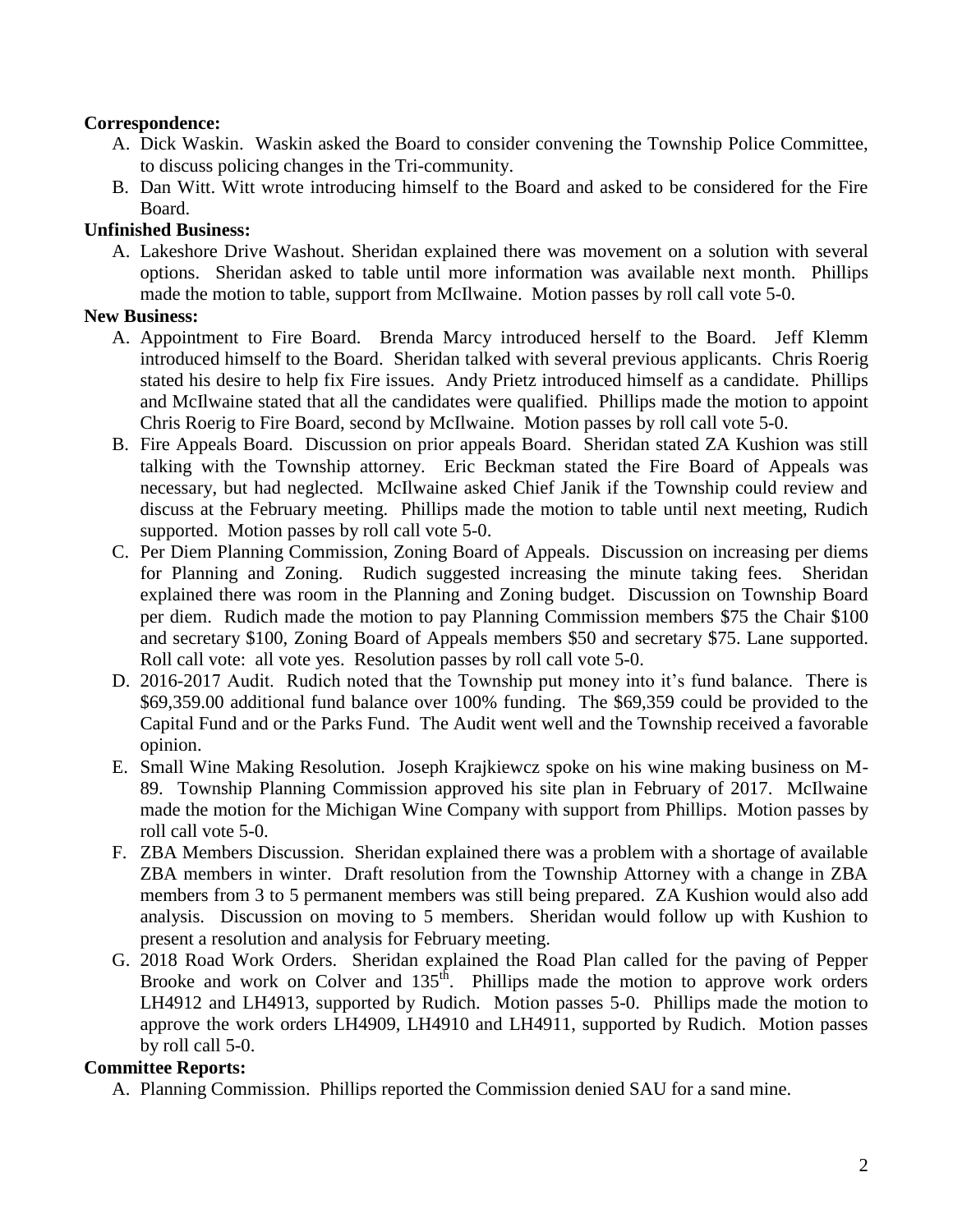### **Correspondence:**

- A. Dick Waskin. Waskin asked the Board to consider convening the Township Police Committee, to discuss policing changes in the Tri-community.
- B. Dan Witt. Witt wrote introducing himself to the Board and asked to be considered for the Fire Board.

### **Unfinished Business:**

A. Lakeshore Drive Washout. Sheridan explained there was movement on a solution with several options. Sheridan asked to table until more information was available next month. Phillips made the motion to table, support from McIlwaine. Motion passes by roll call vote 5-0.

#### **New Business:**

- A. Appointment to Fire Board. Brenda Marcy introduced herself to the Board. Jeff Klemm introduced himself to the Board. Sheridan talked with several previous applicants. Chris Roerig stated his desire to help fix Fire issues. Andy Prietz introduced himself as a candidate. Phillips and McIlwaine stated that all the candidates were qualified. Phillips made the motion to appoint Chris Roerig to Fire Board, second by McIlwaine. Motion passes by roll call vote 5-0.
- B. Fire Appeals Board. Discussion on prior appeals Board. Sheridan stated ZA Kushion was still talking with the Township attorney. Eric Beckman stated the Fire Board of Appeals was necessary, but had neglected. McIlwaine asked Chief Janik if the Township could review and discuss at the February meeting. Phillips made the motion to table until next meeting, Rudich supported. Motion passes by roll call vote 5-0.
- C. Per Diem Planning Commission, Zoning Board of Appeals. Discussion on increasing per diems for Planning and Zoning. Rudich suggested increasing the minute taking fees. Sheridan explained there was room in the Planning and Zoning budget. Discussion on Township Board per diem. Rudich made the motion to pay Planning Commission members \$75 the Chair \$100 and secretary \$100, Zoning Board of Appeals members \$50 and secretary \$75. Lane supported. Roll call vote: all vote yes. Resolution passes by roll call vote 5-0.
- D. 2016-2017 Audit. Rudich noted that the Township put money into it's fund balance. There is \$69,359.00 additional fund balance over 100% funding. The \$69,359 could be provided to the Capital Fund and or the Parks Fund. The Audit went well and the Township received a favorable opinion.
- E. Small Wine Making Resolution. Joseph Krajkiewcz spoke on his wine making business on M-89. Township Planning Commission approved his site plan in February of 2017. McIlwaine made the motion for the Michigan Wine Company with support from Phillips. Motion passes by roll call vote 5-0.
- F. ZBA Members Discussion. Sheridan explained there was a problem with a shortage of available ZBA members in winter. Draft resolution from the Township Attorney with a change in ZBA members from 3 to 5 permanent members was still being prepared. ZA Kushion would also add analysis. Discussion on moving to 5 members. Sheridan would follow up with Kushion to present a resolution and analysis for February meeting.
- G. 2018 Road Work Orders. Sheridan explained the Road Plan called for the paving of Pepper Brooke and work on Colver and  $135<sup>th</sup>$ . Phillips made the motion to approve work orders LH4912 and LH4913, supported by Rudich. Motion passes 5-0. Phillips made the motion to approve the work orders LH4909, LH4910 and LH4911, supported by Rudich. Motion passes by roll call 5-0.

## **Committee Reports:**

A. Planning Commission. Phillips reported the Commission denied SAU for a sand mine.